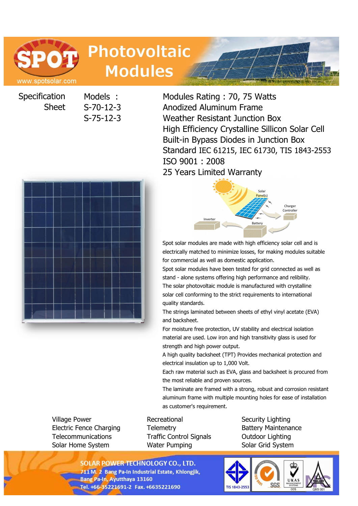

# **Photovoltaic Modules**

**Specification** Sheet

Models : Modules Rating : 70, 75 Watts S-70-12-3 Anodized Aluminum Frame S-75-12-3 Weather Resistant Junction Box High Efficiency Crystalline Sillicon Solar Cell Built-in Bypass Diodes in Junction Box Standard IEC 61215, IEC 61730, TIS 1843-2553 ISO 9001 : 2008 25 Years Limited Warranty

> Solar Panel(s)

**Battery** 



Spot solar modules are made with high efficiency solar cell and is electrically matched to minimize losses, for making modules suitable for commercial as well as domestic application.

Inverter

Charger Controlle

Spot solar modules have been tested for grid connected as well as stand - alone systems offering high performance and relibility. The solar photovoltaic module is manufactured with crystalline solar cell conforming to the strict requirements to international quality standards.

The strings laminated between sheets of ethyl vinyl acetate (EVA) and backsheet.

For moisture free protection, UV stability and electrical isolation material are used. Low iron and high transitivity glass is used for strength and high power output.

A high quality backsheet (TPT) Provides mechanical protection and electrical insulation up to 1,000 Volt.

Each raw material such as EVA, glass and backsheet is procured from the most reliable and proven sources.

The laminate are framed with a strong, robust and corrosion resistant aluminum frame with multiple mounting holes for ease of installation as customer's requirement.

Village Power **Recreational** Security Lighting Security Lighting Electric Fence Charging Telemetry Battery Maintenance Telecommunications Traffic Control Signals Outdoor Lighting Solar Home System **Water Pumping Solar Grid System** 

**SOLAR POWER TECHNOLOGY CO., LTD.** 711 M. 2 Bang Pa-In Industrial Estate, Khlongjik, **Bang Pa-In, Ayutthaya 13160**